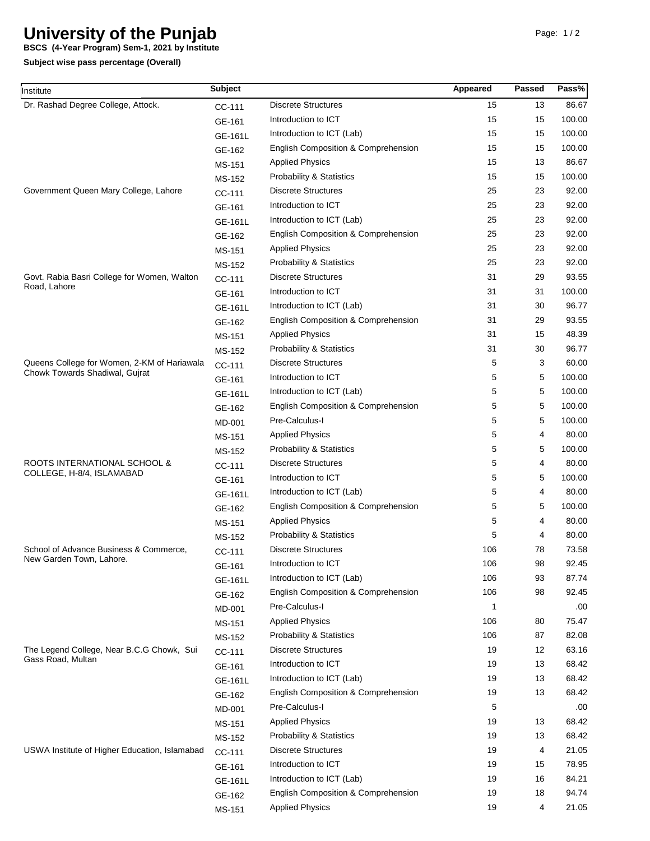## **University of the Punjab**

**Subject wise pass percentage (Overall) BSCS (4-Year Program) Sem-1, 2021 by Institute**

| Institute                                                                     | <b>Subject</b> |                                     | Appeared | Passed | Pass%  |
|-------------------------------------------------------------------------------|----------------|-------------------------------------|----------|--------|--------|
| Dr. Rashad Degree College, Attock.                                            | CC-111         | <b>Discrete Structures</b>          | 15       | 13     | 86.67  |
|                                                                               | GE-161         | Introduction to ICT                 | 15       | 15     | 100.00 |
|                                                                               | GE-161L        | Introduction to ICT (Lab)           | 15       | 15     | 100.00 |
|                                                                               | GE-162         | English Composition & Comprehension | 15       | 15     | 100.00 |
|                                                                               | MS-151         | <b>Applied Physics</b>              | 15       | 13     | 86.67  |
|                                                                               | MS-152         | <b>Probability &amp; Statistics</b> | 15       | 15     | 100.00 |
| Government Queen Mary College, Lahore                                         | CC-111         | <b>Discrete Structures</b>          | 25       | 23     | 92.00  |
|                                                                               | GE-161         | Introduction to ICT                 | 25       | 23     | 92.00  |
|                                                                               | GE-161L        | Introduction to ICT (Lab)           | 25       | 23     | 92.00  |
|                                                                               | GE-162         | English Composition & Comprehension | 25       | 23     | 92.00  |
|                                                                               | MS-151         | <b>Applied Physics</b>              | 25       | 23     | 92.00  |
|                                                                               | MS-152         | <b>Probability &amp; Statistics</b> | 25       | 23     | 92.00  |
| Govt. Rabia Basri College for Women, Walton<br>Road, Lahore                   | CC-111         | <b>Discrete Structures</b>          | 31       | 29     | 93.55  |
|                                                                               | GE-161         | Introduction to ICT                 | 31       | 31     | 100.00 |
|                                                                               | GE-161L        | Introduction to ICT (Lab)           | 31       | 30     | 96.77  |
|                                                                               | GE-162         | English Composition & Comprehension | 31       | 29     | 93.55  |
|                                                                               | MS-151         | <b>Applied Physics</b>              | 31       | 15     | 48.39  |
|                                                                               | MS-152         | <b>Probability &amp; Statistics</b> | 31       | 30     | 96.77  |
| Queens College for Women, 2-KM of Hariawala<br>Chowk Towards Shadiwal, Gujrat | CC-111         | <b>Discrete Structures</b>          | 5        | 3      | 60.00  |
|                                                                               | GE-161         | Introduction to ICT                 | 5        | 5      | 100.00 |
|                                                                               | GE-161L        | Introduction to ICT (Lab)           | 5        | 5      | 100.00 |
|                                                                               | GE-162         | English Composition & Comprehension | 5        | 5      | 100.00 |
|                                                                               | MD-001         | Pre-Calculus-I                      | 5        | 5      | 100.00 |
|                                                                               | MS-151         | <b>Applied Physics</b>              | 5        | 4      | 80.00  |
|                                                                               | MS-152         | <b>Probability &amp; Statistics</b> | 5        | 5      | 100.00 |
| ROOTS INTERNATIONAL SCHOOL &<br>COLLEGE, H-8/4, ISLAMABAD                     | CC-111         | <b>Discrete Structures</b>          | 5        | 4      | 80.00  |
|                                                                               | GE-161         | Introduction to ICT                 | 5        | 5      | 100.00 |
|                                                                               | GE-161L        | Introduction to ICT (Lab)           | 5        | 4      | 80.00  |
|                                                                               | GE-162         | English Composition & Comprehension | 5        | 5      | 100.00 |
|                                                                               | MS-151         | <b>Applied Physics</b>              | 5        | 4      | 80.00  |
|                                                                               | MS-152         | <b>Probability &amp; Statistics</b> | 5        | 4      | 80.00  |
| School of Advance Business & Commerce,<br>New Garden Town, Lahore.            | CC-111         | <b>Discrete Structures</b>          | 106      | 78     | 73.58  |
|                                                                               | GE-161         | Introduction to ICT                 | 106      | 98     | 92.45  |
|                                                                               | GE-161L        | Introduction to ICT (Lab)           | 106      | 93     | 87.74  |
|                                                                               | GE-162         | English Composition & Comprehension | 106      | 98     | 92.45  |
|                                                                               | MD-001         | Pre-Calculus-I                      | 1        |        | .00.   |
|                                                                               | MS-151         | <b>Applied Physics</b>              | 106      | 80     | 75.47  |
|                                                                               | <b>MS-152</b>  | <b>Probability &amp; Statistics</b> | 106      | 87     | 82.08  |
| The Legend College, Near B.C.G Chowk, Sui<br>Gass Road, Multan                | CC-111         | <b>Discrete Structures</b>          | 19       | 12     | 63.16  |
|                                                                               | GE-161         | Introduction to ICT                 | 19       | 13     | 68.42  |
|                                                                               | GE-161L        | Introduction to ICT (Lab)           | 19       | 13     | 68.42  |
|                                                                               | GE-162         | English Composition & Comprehension | 19       | 13     | 68.42  |
|                                                                               | MD-001         | Pre-Calculus-I                      | 5        |        | .00.   |
|                                                                               | MS-151         | <b>Applied Physics</b>              | 19       | 13     | 68.42  |
|                                                                               | MS-152         | <b>Probability &amp; Statistics</b> | 19       | 13     | 68.42  |
| USWA Institute of Higher Education, Islamabad                                 | CC-111         | <b>Discrete Structures</b>          | 19       | 4      | 21.05  |
|                                                                               | GE-161         | Introduction to ICT                 | 19       | 15     | 78.95  |
|                                                                               | GE-161L        | Introduction to ICT (Lab)           | 19       | 16     | 84.21  |
|                                                                               | GE-162         | English Composition & Comprehension | 19       | 18     | 94.74  |
|                                                                               | MS-151         | <b>Applied Physics</b>              | 19       | 4      | 21.05  |